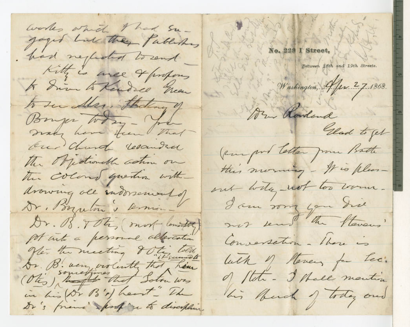works which they fabletes had neglected to rend Kitty is were 4 profens to drive to Kendred Green to sur Aler, theding of Bouger Today cho make have frem that On Church resamded The Orgestrough action on the colone question with drowing ole indorsement of Dr. Borreton & Comin -Dr. 08. TOty most comental personal alexanderation Offer the meeting & the lold Dr. B. very violently that hem (Otis) the that solow was in his (Dr B's) heart - The Dr's friend sport on to disciplin

No. 228 I Street,

Between 18th and 19th Streets.

Washington, 9 Jun 27.1868.

Ar Rowland

Elad to get

(surport teller from Batte this morning - It is pleas-

out with not too work.

I am song you the mos send du Stavens

Conversation - there is

buth of Hovers for tec. of flate - I thall monting his buch of today and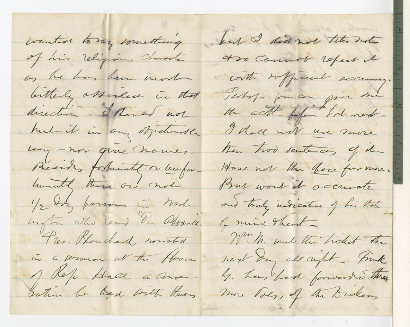wanted to my comething of his religious Character os he has been mort letterly observed in that direction - hered not had it in any objectmentle Long - nor give nomes. Besides fortunate or buforhundely there are not 1/2 day formom in Northington who read the advance. Pres. Klanchard nomated in a sermon at the House 1 Kele Hall a Conversotion be had with there

but I did not tele note to Common refert it contr referent occurry. Testof for can give me the acts of har tol. next-Thall not use more then two sentences of d-Hove not the bace for more. But wont it accuerte and truly indicative of his thate of mind that W. M. send the holest the next day all right - fink b. has had forwarded they more loes. of the Didens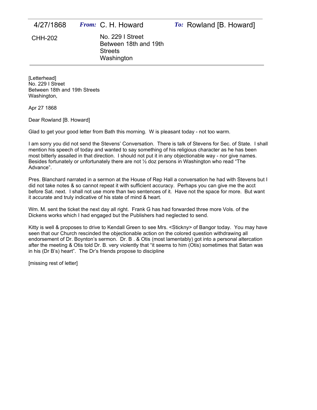| 4/27/1868 | <i>From:</i> C. H. Howard                                                 | To: Rowland [B. Howard] |
|-----------|---------------------------------------------------------------------------|-------------------------|
| CHH-202   | No. 229   Street<br>Between 18th and 19th<br><b>Streets</b><br>Washington |                         |

[Letterhead] No. 229 I Street Between 18th and 19th Streets Washington,

Apr 27 1868

Dear Rowland [B. Howard]

Glad to get your good letter from Bath this morning. W is pleasant today - not too warm.

I am sorry you did not send the Stevens' Conversation. There is talk of Stevens for Sec. of State. I shall mention his speech of today and wanted to say something of his religious character as he has been most bitterly assailed in that direction. I should not put it in any objectionable way - nor give names. Besides fortunately or unfortunately there are not  $\frac{1}{2}$  doz persons in Washington who read "The Advance".

Pres. Blanchard narrated in a sermon at the House of Rep Hall a conversation he had with Stevens but I did not take notes & so cannot repeat it with sufficient accuracy. Perhaps you can give me the acct before Sat. next. I shall not use more than two sentences of it. Have not the space for more. But want it accurate and truly indicative of his state of mind & heart.

Wm. M. sent the ticket the next day all right. Frank G has had forwarded three more Vols. of the Dickens works which I had engaged but the Publishers had neglected to send.

Kitty is well & proposes to drive to Kendall Green to see Mrs. <Stickny> of Bangor today. You may have seen that our Church rescinded the objectionable action on the colored question withdrawing all endorsement of Dr. Boynton's sermon. Dr. B . & Otis (most lamentably) got into a personal altercation after the meeting & Otis told Dr. B. very violently that "it seems to him (Otis) sometimes that Satan was in his (Dr B's) heart". The Dr's friends propose to discipline

[missing rest of letter]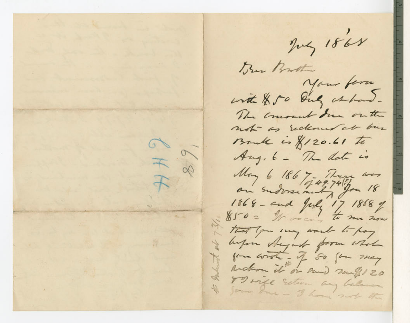July 1868 Bur Brother your form with \$50 July at hand-The consent due on the not as reckoned at bus Bruk is \$120.61 to  $78.91$ Aug. 6 - The date is May 6 186 7 - Thurs was  $\uparrow$  $1868 - and   
171868  
1850 = 16 m$ That you may work to pay before Angust from whole for wrote - of 50 for 200g Richon it or and souf 120 To will Estevan any balance If Jerum due - I have such the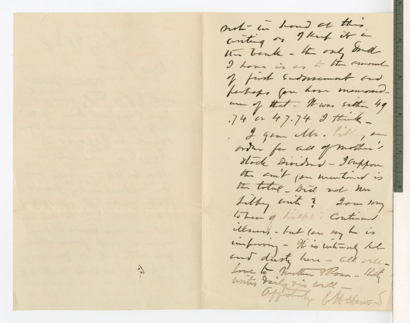not - in hand at this conting on I keep it in the bank - the only don't I home is as to the mount of first Enstmement and perhaps for home memoral am of that - It was setten 49 .74 or 47.74 I think -. I gear the . Little, an order for all of mother's Hoch Dividend - Tappon the suit for mentioned is the total - bid not has Libby with ? Som sony When of Kulph's Continued Mesures - but for my he is unfrom - It is interest hol and dusty here - all only-Love to Mother Mora- With